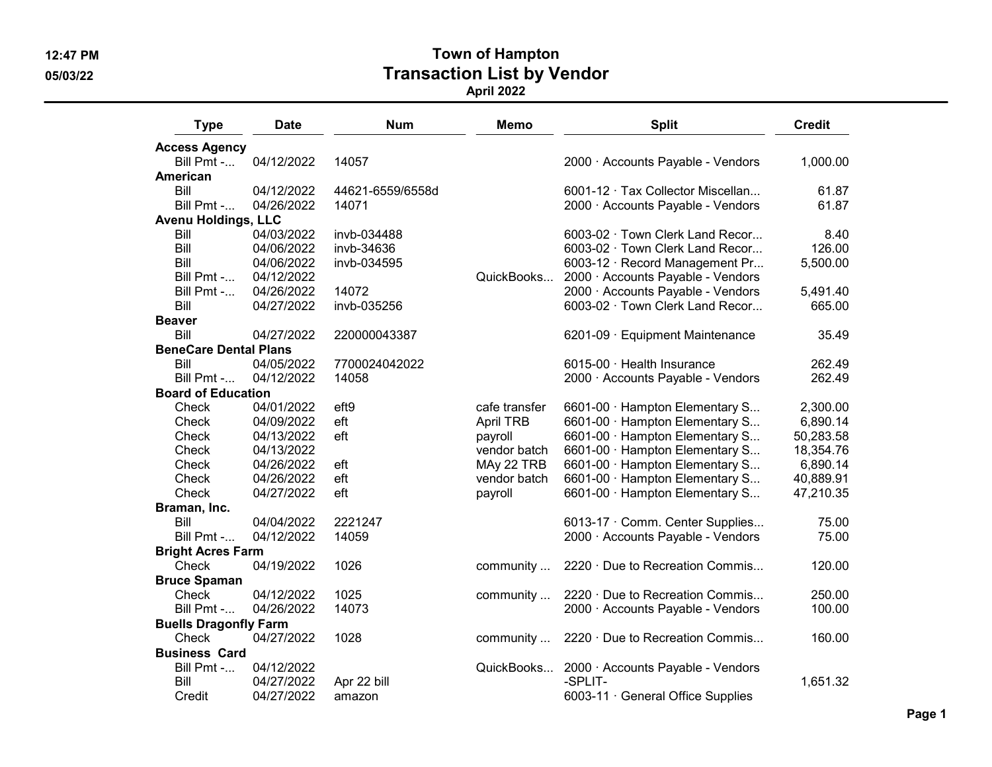Type Date Num Memo Split Credit Access Agency Bill Pmt -... 04/12/2022 14057 2000 · Accounts Payable - Vendors 1,000.00 American Bill 04/12/2022 44621-6559/6558d 6001-12 · Tax Collector Miscellan... 61.87 Bill Pmt -... 04/26/2022 14071 2000 · Accounts Payable - Vendors 61.87 Avenu Holdings, LLC Bill 04/03/2022 invb-034488 6003-02 · Town Clerk Land Recor... 8.40 Bill 04/06/2022 invb-34636 6003-02 · Town Clerk Land Recor... 126.00 Bill 04/06/2022 invb-034595 6003-12 · Record Management Pr... 5,500.00 Bill Pmt -... 04/12/2022 QuickBooks... 2000 · Accounts Payable - Vendors Bill Pmt -... 04/26/2022 14072 2000 · Accounts Payable - Vendors 5,491.40 Bill 04/27/2022 invb-035256 6003-02 · Town Clerk Land Recor... 665.00 Beaver Bill 04/27/2022 220000043387 6201-09 · Equipment Maintenance 35.49 BeneCare Dental Plans Bill 04/05/2022 7700024042022 6015-00 · Health Insurance 262.49 Bill Pmt -... 04/12/2022 14058 2000 · Accounts Payable - Vendors 262.49 Board of Education Check 04/01/2022 eft9 cafe transfer 6601-00 · Hampton Elementary S... 2,300.00 Check 04/09/2022 eft April TRB 6601-00 · Hampton Elementary S... 6,890.14 Check 04/13/2022 eft payroll 6601-00 · Hampton Elementary S... 50,283.58 Check 04/13/2022 vendor batch 6601-00 · Hampton Elementary S... 18,354.76 Check 04/26/2022 eft MAy 22 TRB 6601-00 · Hampton Elementary S... 6,890.14 Check 04/26/2022 eft vendor batch 6601-00 · Hampton Elementary S... 40,889.91 Check 04/27/2022 eft payroll 6601-00 · Hampton Elementary S... 47,210.35 Braman, Inc. Bill 04/04/2022 2221247 6013-17 · Comm. Center Supplies... 75.00 Bill Pmt -... 04/12/2022 14059 2000 · Accounts Payable - Vendors 75.00 Bright Acres Farm Check 04/19/2022 1026 community ... 2220 · Due to Recreation Commis... 120.00 Bruce Spaman Check 04/12/2022 1025 community ... 2220 · Due to Recreation Commis... 250.00 Bill Pmt -... 04/26/2022 14073 2000 · Accounts Payable - Vendors 100.00 Buells Dragonfly Farm Check 04/27/2022 1028 community ... 2220 · Due to Recreation Commis... 160.00 Business Card Bill Pmt -... 04/12/2022 QuickBooks... 2000 · Accounts Payable - Vendors Bill 04/27/2022 Apr 22 bill -SPLIT- 1,651.32 Credit 04/27/2022 amazon 6003-11 · General Office Supplies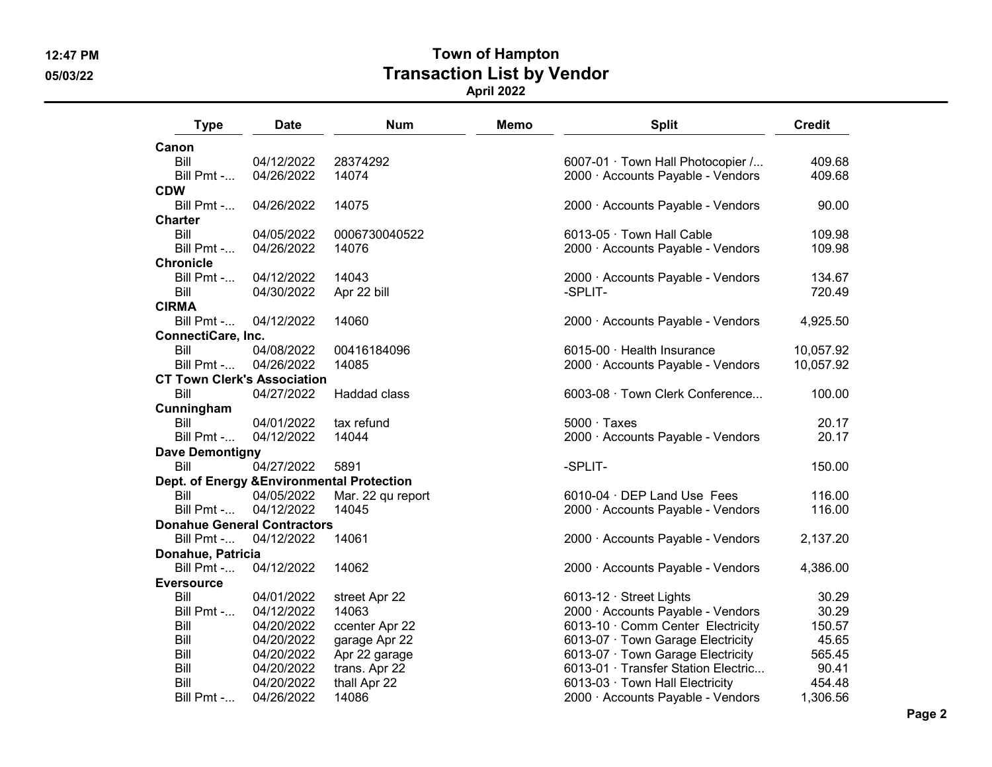Canon

CDW

**Charter** 

**Chronicle** 

CIRMA

### 12:47 PM Town of Hampton 05/03/22 Transaction List by Vendor April 2022

Type Date Num Memo Split Credit Bill 04/12/2022 28374292 6007-01 · Town Hall Photocopier /... 409.68 04/26/2022 14074 2000 · Accounts Payable - Vendors 409.68 Bill Pmt -... 04/26/2022 14075 2000 · Accounts Payable - Vendors 90.00 Bill 04/05/2022 0006730040522 6013-05 · Town Hall Cable 109.98 Bill Pmt -... 04/26/2022 14076 2000 · Accounts Payable - Vendors 109.98 Bill Pmt -... 04/12/2022 14043 2000 · Accounts Payable - Vendors 134.67 Bill 04/30/2022 Apr 22 bill -SPLIT- 720.49 Bill Pmt -... 04/12/2022 14060 2000 · Accounts Payable - Vendors 4,925.50 ConnectiCare, Inc. Bill 04/08/2022 00416184096 6015-00 · Health Insurance 10,057.92 Bill Pmt -... 04/26/2022 14085 2000 · Accounts Payable - Vendors 10,057.92 CT Town Clerk's Association Bill 04/27/2022 Haddad class 6003-08 · Town Clerk Conference... 100.00 Cunningham Bill 04/01/2022 tax refund 5000 · Taxes 20.17 Bill Pmt -... 04/12/2022 14044 2000 · Accounts Payable - Vendors 20.17 Dave Demontigny Bill 04/27/2022 5891 -SPLIT- 150.00 Dept. of Energy &Environmental Protection Bill 04/05/2022 Mar. 22 qu report 6010-04 · DEP Land Use Fees 116.00 Bill Pmt -... 04/12/2022 14045 2000 · Accounts Payable - Vendors 116.00 Donahue General Contractors Bill Pmt -... 04/12/2022 14061 2000 · Accounts Payable - Vendors 2,137.20 Donahue, Patricia Bill Pmt -... 04/12/2022 14062 1406 - 2000 · Accounts Payable - Vendors 4,386.00 **Eversource** Bill 04/01/2022 street Apr 22 6013-12 · Street Lights 30.29 Bill Pmt -... 04/12/2022 14063 2000 · Accounts Payable - Vendors 30.29 Bill 04/20/2022 ccenter Apr 22 6013-10 · Comm Center Electricity 150.57 Bill  $04/20/2022$  garage Apr 22 6013-07 · Town Garage Electricity 45.65 Bill 04/20/2022 Apr 22 garage 6013-07 · Town Garage Electricity 565.45 Bill 04/20/2022 trans. Apr 22 6013-01 · Transfer Station Electric... 90.41 Bill 04/20/2022 thall Apr 22 6013-03 · Town Hall Electricity 454.48 Bill Pmt -... 04/26/2022 14086 2000 · Accounts Payable - Vendors 1,306.56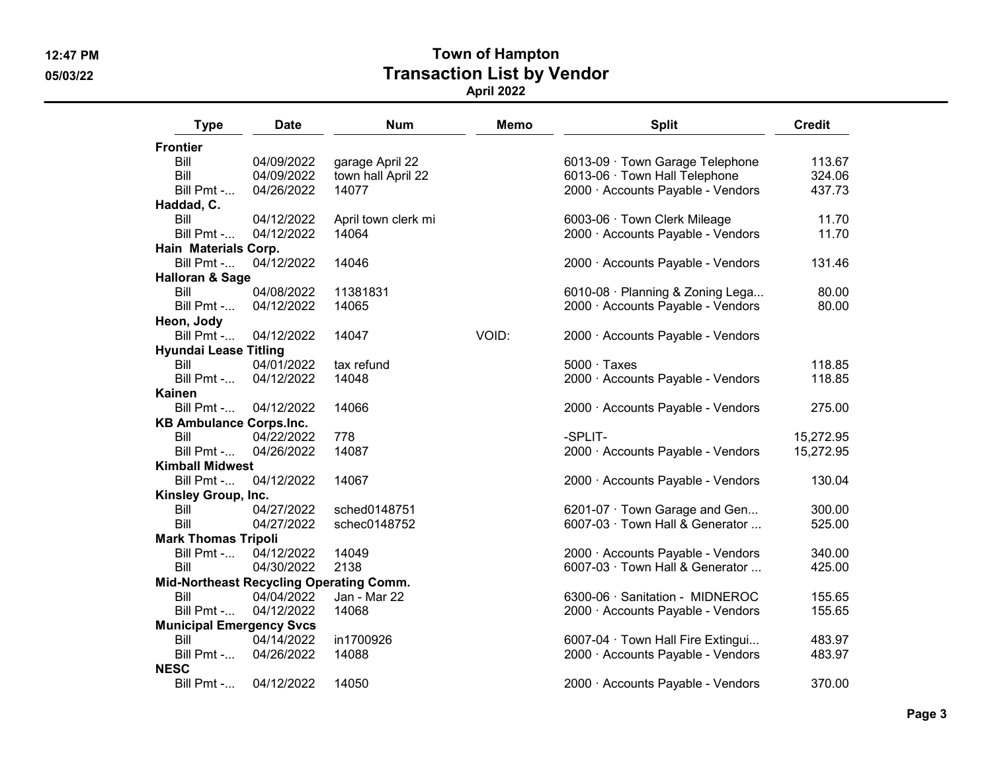| <b>Type</b>                     | <b>Date</b> | <b>Num</b>                              | <b>Memo</b> | <b>Split</b>                      | <b>Credit</b> |
|---------------------------------|-------------|-----------------------------------------|-------------|-----------------------------------|---------------|
| <b>Frontier</b>                 |             |                                         |             |                                   |               |
| Bill                            | 04/09/2022  | garage April 22                         |             | 6013-09 · Town Garage Telephone   | 113.67        |
| Bill                            | 04/09/2022  | town hall April 22                      |             | 6013-06 · Town Hall Telephone     | 324.06        |
| Bill Pmt -                      | 04/26/2022  | 14077                                   |             | 2000 · Accounts Payable - Vendors | 437.73        |
| Haddad, C.                      |             |                                         |             |                                   |               |
| Bill                            | 04/12/2022  | April town clerk mi                     |             | 6003-06 · Town Clerk Mileage      | 11.70         |
| Bill Pmt -                      | 04/12/2022  | 14064                                   |             | 2000 · Accounts Payable - Vendors | 11.70         |
| Hain Materials Corp.            |             |                                         |             |                                   |               |
| Bill $Pmt$ -                    | 04/12/2022  | 14046                                   |             | 2000 · Accounts Payable - Vendors | 131.46        |
| <b>Halloran &amp; Sage</b>      |             |                                         |             |                                   |               |
| Bill                            | 04/08/2022  | 11381831                                |             | 6010-08 · Planning & Zoning Lega  | 80.00         |
| Bill Pmt -                      | 04/12/2022  | 14065                                   |             | 2000 · Accounts Payable - Vendors | 80.00         |
| Heon, Jody                      |             |                                         |             |                                   |               |
| Bill Pmt -                      | 04/12/2022  | 14047                                   | VOID:       | 2000 · Accounts Payable - Vendors |               |
| <b>Hyundai Lease Titling</b>    |             |                                         |             |                                   |               |
| Bill                            | 04/01/2022  | tax refund                              |             | $5000 \cdot$ Taxes                | 118.85        |
| Bill Pmt -                      | 04/12/2022  | 14048                                   |             | 2000 · Accounts Payable - Vendors | 118.85        |
| <b>Kainen</b>                   |             |                                         |             |                                   |               |
| Bill Pmt -                      | 04/12/2022  | 14066                                   |             | 2000 · Accounts Payable - Vendors | 275.00        |
| <b>KB Ambulance Corps.Inc.</b>  |             |                                         |             |                                   |               |
| Bill                            | 04/22/2022  | 778                                     |             | -SPLIT-                           | 15,272.95     |
| Bill Pmt -                      | 04/26/2022  | 14087                                   |             | 2000 · Accounts Payable - Vendors | 15,272.95     |
| <b>Kimball Midwest</b>          |             |                                         |             |                                   |               |
| Bill Pmt -                      | 04/12/2022  | 14067                                   |             | 2000 · Accounts Payable - Vendors | 130.04        |
| Kinsley Group, Inc.             |             |                                         |             |                                   |               |
| Bill                            | 04/27/2022  | sched0148751                            |             | 6201-07 · Town Garage and Gen     | 300.00        |
| Bill                            | 04/27/2022  | schec0148752                            |             | 6007-03 · Town Hall & Generator   | 525.00        |
| <b>Mark Thomas Tripoli</b>      |             |                                         |             |                                   |               |
| Bill Pmt -                      | 04/12/2022  | 14049                                   |             | 2000 · Accounts Payable - Vendors | 340.00        |
| Bill                            | 04/30/2022  | 2138                                    |             | 6007-03 · Town Hall & Generator   | 425.00        |
|                                 |             | Mid-Northeast Recycling Operating Comm. |             |                                   |               |
| Bill                            | 04/04/2022  | Jan - Mar 22                            |             | 6300-06 · Sanitation - MIDNEROC   | 155.65        |
| Bill Pmt -                      | 04/12/2022  | 14068                                   |             | 2000 · Accounts Payable - Vendors | 155.65        |
| <b>Municipal Emergency Svcs</b> |             |                                         |             |                                   |               |
| Bill                            | 04/14/2022  | in1700926                               |             | 6007-04 · Town Hall Fire Extingui | 483.97        |
| Bill Pmt -                      | 04/26/2022  | 14088                                   |             | 2000 · Accounts Payable - Vendors | 483.97        |
| <b>NESC</b>                     |             |                                         |             |                                   |               |
| Bill Pmt -                      | 04/12/2022  | 14050                                   |             | 2000 · Accounts Payable - Vendors | 370.00        |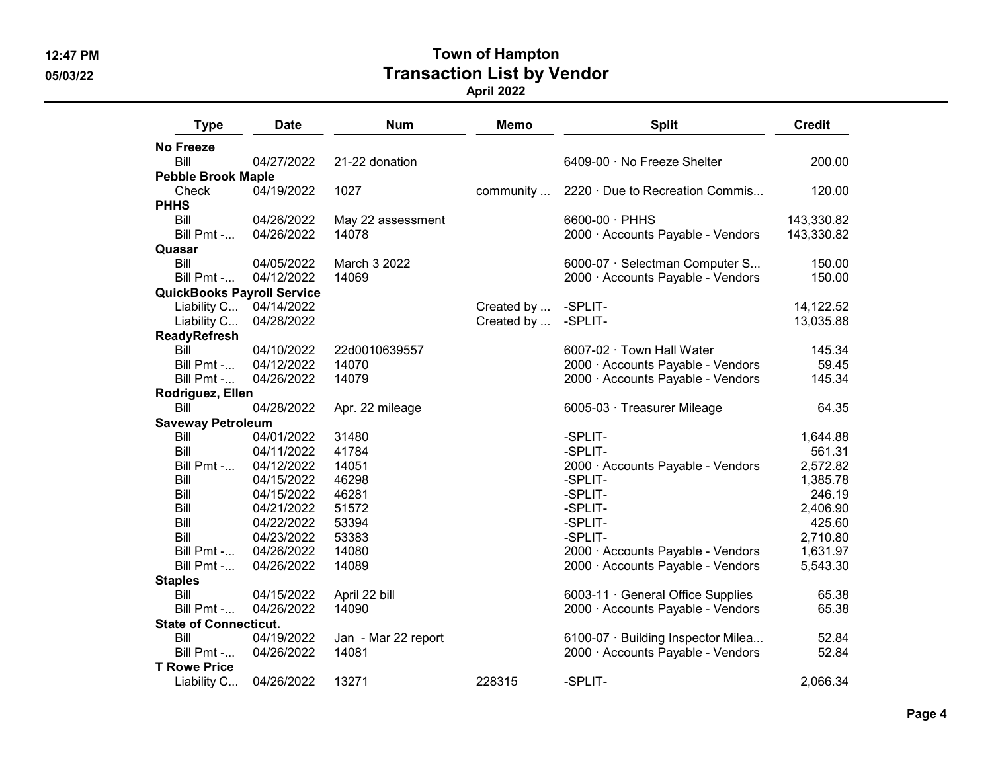| <b>Type</b>                       | <b>Date</b>            | <b>Num</b>          | <b>Memo</b> | <b>Split</b>                       | <b>Credit</b> |
|-----------------------------------|------------------------|---------------------|-------------|------------------------------------|---------------|
| <b>No Freeze</b>                  |                        |                     |             |                                    |               |
| Bill                              | 04/27/2022             | 21-22 donation      |             | 6409-00 · No Freeze Shelter        | 200.00        |
| <b>Pebble Brook Maple</b>         |                        |                     |             |                                    |               |
| Check                             | 04/19/2022             | 1027                | community   | 2220 Due to Recreation Commis      | 120.00        |
| <b>PHHS</b>                       |                        |                     |             |                                    |               |
| Bill                              | 04/26/2022             | May 22 assessment   |             | 6600-00 · PHHS                     | 143,330.82    |
| Bill Pmt -                        | 04/26/2022             | 14078               |             | 2000 · Accounts Payable - Vendors  | 143,330.82    |
| Quasar                            |                        |                     |             |                                    |               |
| Bill                              | 04/05/2022             | March 3 2022        |             | 6000-07 · Selectman Computer S     | 150.00        |
| Bill Pmt -                        | 04/12/2022             | 14069               |             | 2000 · Accounts Payable - Vendors  | 150.00        |
| <b>QuickBooks Payroll Service</b> |                        |                     |             |                                    |               |
|                                   | Liability C 04/14/2022 |                     | Created by  | -SPLIT-                            | 14,122.52     |
| Liability C                       | 04/28/2022             |                     | Created by  | -SPLIT-                            | 13,035.88     |
| <b>ReadyRefresh</b>               |                        |                     |             |                                    |               |
| Bill                              | 04/10/2022             | 22d0010639557       |             | 6007-02 · Town Hall Water          | 145.34        |
| Bill Pmt -                        | 04/12/2022             | 14070               |             | 2000 · Accounts Payable - Vendors  | 59.45         |
| Bill Pmt -                        | 04/26/2022             | 14079               |             | 2000 · Accounts Payable - Vendors  | 145.34        |
| Rodriguez, Ellen                  |                        |                     |             |                                    |               |
| Bill                              | 04/28/2022             | Apr. 22 mileage     |             | 6005-03 · Treasurer Mileage        | 64.35         |
| <b>Saveway Petroleum</b>          |                        |                     |             |                                    |               |
| Bill                              | 04/01/2022             | 31480               |             | -SPLIT-                            | 1,644.88      |
| Bill                              | 04/11/2022             | 41784               |             | -SPLIT-                            | 561.31        |
| Bill Pmt -                        | 04/12/2022             | 14051               |             | 2000 · Accounts Payable - Vendors  | 2,572.82      |
| Bill                              | 04/15/2022             | 46298               |             | -SPLIT-                            | 1,385.78      |
| Bill                              | 04/15/2022             | 46281               |             | -SPLIT-                            | 246.19        |
| Bill                              | 04/21/2022             | 51572               |             | -SPLIT-                            | 2,406.90      |
| Bill                              | 04/22/2022             | 53394               |             | -SPLIT-                            | 425.60        |
| Bill                              | 04/23/2022             | 53383               |             | -SPLIT-                            | 2,710.80      |
| Bill $Pmt$ -                      | 04/26/2022             | 14080               |             | 2000 · Accounts Payable - Vendors  | 1,631.97      |
| Bill Pmt -                        | 04/26/2022             | 14089               |             | 2000 · Accounts Payable - Vendors  | 5,543.30      |
| <b>Staples</b>                    |                        |                     |             |                                    |               |
| Bill                              | 04/15/2022             | April 22 bill       |             | 6003-11 General Office Supplies    | 65.38         |
| Bill Pmt -                        | 04/26/2022             | 14090               |             | 2000 · Accounts Payable - Vendors  | 65.38         |
| <b>State of Connecticut.</b>      |                        |                     |             |                                    |               |
| Bill                              | 04/19/2022             | Jan - Mar 22 report |             | 6100-07 · Building Inspector Milea | 52.84         |
| Bill Pmt -                        | 04/26/2022             | 14081               |             | 2000 · Accounts Payable - Vendors  | 52.84         |
| <b>T Rowe Price</b>               |                        |                     |             |                                    |               |
| Liability C                       | 04/26/2022             | 13271               | 228315      | -SPLIT-                            | 2,066.34      |